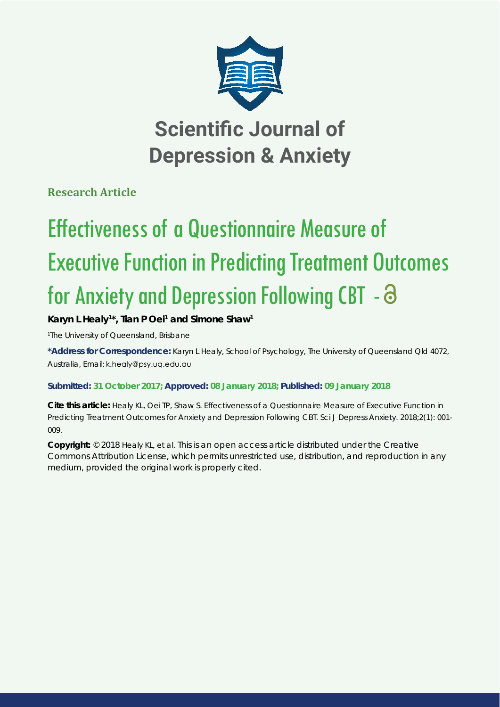

# **Scientific Journal of Depression & Anxiety**

**Research Article**

# Effectiveness of a Questionnaire Measure of Executive Function in Predicting Treatment Outcomes for Anxiety and Depression Following CBT -  $\Theta$

## Karyn L Healy<sup>1\*</sup>, Tian P Oei<sup>1</sup> and Simone Shaw<sup>1</sup>

*1 The University of Queensland, Brisbane*

**\*Address for Correspondence:** Karyn L Healy, School of Psychology, The University of Queensland Qld 4072, Australia, Email: k.healy@psy.uq.edu.au

### **Submitted: 31 October 2017; Approved: 08 January 2018; Published: 09 January 2018**

**Cite this article:** Healy KL, Oei TP, Shaw S. Effectiveness of a Questionnaire Measure of Executive Function in Predicting Treatment Outcomes for Anxiety and Depression Following CBT. Sci J Depress Anxiety. 2018;2(1): 001- 009.

**Copyright:** © 2018 Healy KL, et al. This is an open access article distributed under the Creative Commons Attribution License, which permits unrestricted use, distribution, and reproduction in any medium, provided the original work is properly cited.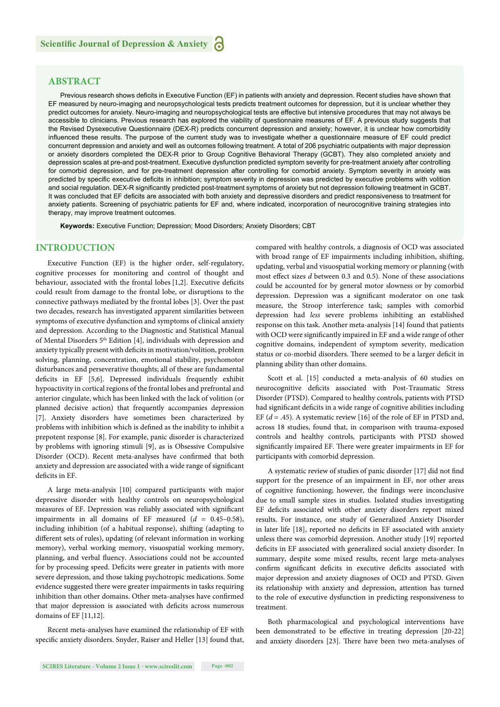#### **ABSTRACT**

Previous research shows deficits in Executive Function (EF) in patients with anxiety and depression. Recent studies have shown that EF measured by neuro-imaging and neuropsychological tests predicts treatment outcomes for depression, but it is unclear whether they predict outcomes for anxiety. Neuro-imaging and neuropsychological tests are effective but intensive procedures that may not always be accessible to clinicians. Previous research has explored the viability of questionnaire measures of EF. A previous study suggests that the Revised Dysexecutive Questionnaire (DEX-R) predicts concurrent depression and anxiety; however, it is unclear how comorbidity influenced these results. The purpose of the current study was to investigate whether a questionnaire measure of EF could predict concurrent depression and anxiety and well as outcomes following treatment. A total of 206 psychiatric outpatients with major depression or anxiety disorders completed the DEX-R prior to Group Cognitive Behavioral Therapy (GCBT). They also completed anxiety and depression scales at pre-and post-treatment. Executive dysfunction predicted symptom severity for pre-treatment anxiety after controlling for comorbid depression, and for pre-treatment depression after controlling for comorbid anxiety. Symptom severity in anxiety was predicted by specific executive deficits in inhibition; symptom severity in depression was predicted by executive problems with volition and social regulation. DEX-R significantly predicted post-treatment symptoms of anxiety but not depression following treatment in GCBT. It was concluded that EF deficits are associated with both anxiety and depressive disorders and predict responsiveness to treatment for anxiety patients. Screening of psychiatric patients for EF and, where indicated, incorporation of neurocognitive training strategies into therapy, may improve treatment outcomes.

**Keywords:** Executive Function; Depression; Mood Disorders; Anxiety Disorders; CBT

#### **INTRODUCTION**

Executive Function (EF) is the higher order, self-regulatory, cognitive processes for monitoring and control of thought and behaviour, associated with the frontal lobes [1,2]. Executive deficits could result from damage to the frontal lobe, or disruptions to the connective pathways mediated by the frontal lobes [3]. Over the past two decades, research has investigated apparent similarities between symptoms of executive dysfunction and symptoms of clinical anxiety and depression. According to the Diagnostic and Statistical Manual of Mental Disorders 5<sup>th</sup> Edition [4], individuals with depression and anxiety typically present with deficits in motivation/volition, problem solving, planning, concentration, emotional stability, psychomotor disturbances and perseverative thoughts; all of these are fundamental deficits in EF [5,6]. Depressed individuals frequently exhibit hypoactivity in cortical regions of the frontal lobes and prefrontal and anterior cingulate, which has been linked with the lack of volition (or planned decisive action) that frequently accompanies depression [7]. Anxiety disorders have sometimes been characterized by problems with inhibition which is defined as the inability to inhibit a prepotent response [8]. For example, panic disorder is characterized by problems with ignoring stimuli [9], as is Obsessive Compulsive Disorder (OCD). Recent meta-analyses have confirmed that both anxiety and depression are associated with a wide range of significant deficits in EF.

A large meta-analysis [10] compared participants with major depressive disorder with healthy controls on neuropsychological measures of EF. Depression was reliably associated with significant impairments in all domains of EF measured (*d* = 0.45–0.58), including inhibition (of a habitual response), shifting (adapting to different sets of rules), updating (of relevant information in working memory), verbal working memory, visuospatial working memory, planning, and verbal fluency. Associations could not be accounted for by processing speed. Deficits were greater in patients with more severe depression, and those taking psychotropic medications. Some evidence suggested there were greater impairments in tasks requiring inhibition than other domains. Other meta-analyses have confirmed that major depression is associated with deficits across numerous domains of EF [11,12].

Recent meta-analyses have examined the relationship of EF with specific anxiety disorders. Snyder, Raiser and Heller [13] found that, compared with healthy controls, a diagnosis of OCD was associated with broad range of EF impairments including inhibition, shifting, updating, verbal and visuospatial working memory or planning (with most effect sizes *d* between 0.3 and 0.5). None of these associations could be accounted for by general motor slowness or by comorbid depression. Depression was a significant moderator on one task measure, the Stroop interference task; samples with comorbid depression had *less* severe problems inhibiting an established response on this task. Another meta-analysis [14] found that patients with OCD were significantly impaired in EF and a wide range of other cognitive domains, independent of symptom severity, medication status or co-morbid disorders. There seemed to be a larger deficit in planning ability than other domains.

Scott et al. [15] conducted a meta-analysis of 60 studies on neurocognitive deficits associated with Post-Traumatic Stress Disorder (PTSD). Compared to healthy controls, patients with PTSD had significant deficits in a wide range of cognitive abilities including EF  $(d = .45)$ . A systematic review [16] of the role of EF in PTSD and, across 18 studies, found that, in comparison with trauma-exposed controls and healthy controls, participants with PTSD showed significantly impaired EF. There were greater impairments in EF for participants with comorbid depression.

A systematic review of studies of panic disorder [17] did not find support for the presence of an impairment in EF, nor other areas of cognitive functioning; however, the findings were inconclusive due to small sample sizes in studies. Isolated studies investigating EF deficits associated with other anxiety disorders report mixed results. For instance, one study of Generalized Anxiety Disorder in later life [18], reported no deficits in EF associated with anxiety unless there was comorbid depression. Another study [19] reported deficits in EF associated with generalized social anxiety disorder. In summary, despite some mixed results, recent large meta-analyses confirm significant deficits in executive deficits associated with major depression and anxiety diagnoses of OCD and PTSD. Given its relationship with anxiety and depression, attention has turned to the role of executive dysfunction in predicting responsiveness to treatment.

Both pharmacological and psychological interventions have been demonstrated to be effective in treating depression [20-22] and anxiety disorders [23]. There have been two meta-analyses of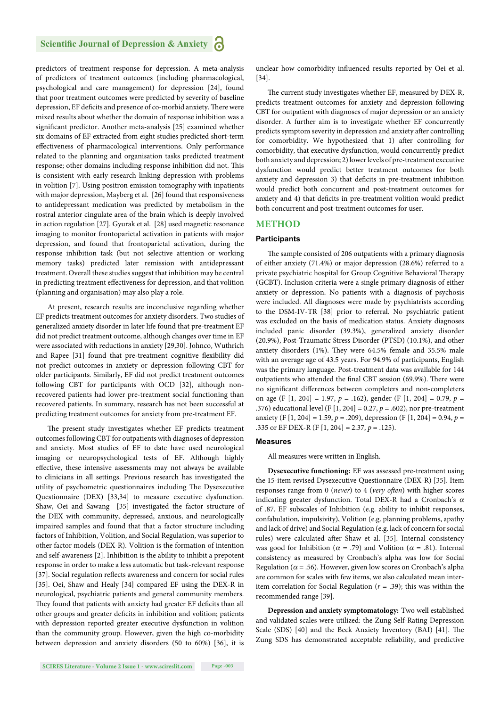predictors of treatment response for depression. A meta-analysis of predictors of treatment outcomes (including pharmacological, psychological and care management) for depression [24], found that poor treatment outcomes were predicted by severity of baseline depression, EF deficits and presence of co-morbid anxiety. There were mixed results about whether the domain of response inhibition was a significant predictor. Another meta-analysis [25] examined whether six domains of EF extracted from eight studies predicted short-term effectiveness of pharmacological interventions. Only performance related to the planning and organisation tasks predicted treatment response; other domains including response inhibition did not. This is consistent with early research linking depression with problems in volition [7]. Using positron emission tomography with inpatients with major depression, Mayberg et al. [26] found that responsiveness to antidepressant medication was predicted by metabolism in the rostral anterior cingulate area of the brain which is deeply involved in action regulation [27]. Gyurak et al. [28] used magnetic resonance imaging to monitor frontoparietal activation in patients with major depression, and found that frontoparietal activation, during the response inhibition task (but not selective attention or working memory tasks) predicted later remission with antidepressant treatment. Overall these studies suggest that inhibition may be central in predicting treatment effectiveness for depression, and that volition (planning and organisation) may also play a role.

At present, research results are inconclusive regarding whether EF predicts treatment outcomes for anxiety disorders. Two studies of generalized anxiety disorder in later life found that pre-treatment EF did not predict treatment outcome, although changes over time in EF were associated with reductions in anxiety [29,30]. Johnco, Wuthrich and Rapee [31] found that pre-treatment cognitive flexibility did not predict outcomes in anxiety or depression following CBT for older participants. Similarly, EF did not predict treatment outcomes following CBT for participants with OCD [32], although nonrecovered patients had lower pre-treatment social functioning than recovered patients. In summary, research has not been successful at predicting treatment outcomes for anxiety from pre-treatment EF.

The present study investigates whether EF predicts treatment outcomes following CBT for outpatients with diagnoses of depression and anxiety. Most studies of EF to date have used neurological imaging or neuropsychological tests of EF. Although highly effective, these intensive assessments may not always be available to clinicians in all settings. Previous research has investigated the utility of psychometric questionnaires including The Dysexecutive Questionnaire (DEX) [33,34] to measure executive dysfunction. Shaw, Oei and Sawang [35] investigated the factor structure of the DEX with community, depressed, anxious, and neurologically impaired samples and found that that a factor structure including factors of Inhibition, Volition, and Social Regulation, was superior to other factor models (DEX-R). Volition is the formation of intention and self-awareness [2]. Inhibition is the ability to inhibit a prepotent response in order to make a less automatic but task-relevant response [37]. Social regulation reflects awareness and concern for social rules [35]. Oei, Shaw and Healy [34] compared EF using the DEX-R in neurological, psychiatric patients and general community members. They found that patients with anxiety had greater EF deficits than all other groups and greater deficits in inhibition and volition; patients with depression reported greater executive dysfunction in volition than the community group. However, given the high co-morbidity between depression and anxiety disorders (50 to 60%) [36], it is

unclear how comorbidity influenced results reported by Oei et al. [34].

The current study investigates whether EF, measured by DEX-R, predicts treatment outcomes for anxiety and depression following CBT for outpatient with diagnoses of major depression or an anxiety disorder. A further aim is to investigate whether EF concurrently predicts symptom severity in depression and anxiety after controlling for comorbidity. We hypothesized that 1) after controlling for comorbidity, that executive dysfunction, would concurrently predict both anxiety and depression; 2) lower levels of pre-treatment executive dysfunction would predict better treatment outcomes for both anxiety and depression 3) that deficits in pre-treatment inhibition would predict both concurrent and post-treatment outcomes for anxiety and 4) that deficits in pre-treatment volition would predict both concurrent and post-treatment outcomes for user.

#### **METHOD**

#### **Participants**

The sample consisted of 206 outpatients with a primary diagnosis of either anxiety (71.4%) or major depression (28.6%) referred to a private psychiatric hospital for Group Cognitive Behavioral Therapy (GCBT). Inclusion criteria were a single primary diagnosis of either anxiety or depression. No patients with a diagnosis of psychosis were included. All diagnoses were made by psychiatrists according to the DSM-IV-TR [38] prior to referral. No psychiatric patient was excluded on the basis of medication status. Anxiety diagnoses included panic disorder (39.3%), generalized anxiety disorder (20.9%), Post-Traumatic Stress Disorder (PTSD) (10.1%), and other anxiety disorders  $(1\%)$ . They were 64.5% female and 35.5% male with an average age of 43.5 years. For 94.9% of participants, English was the primary language. Post-treatment data was available for 144 outpatients who attended the final CBT session (69.9%). There were no significant differences between completers and non-completers on age (F [1, 204] = 1.97, *p* = .162), gender (F [1, 204] = 0.79, *p* = .376) educational level (F [1, 204] = 0.27, *p* = .602), nor pre-treatment anxiety (F [1, 204] = 1.59, *p* = .209), depression (F [1, 204] = 0.94, *p* = .335 or EF DEX-R (F [1, 204] = 2.37, *p* = .125).

#### **Measures**

All measures were written in English.

**Dysexecutive functioning:** EF was assessed pre-treatment using the 15-item revised Dysexecutive Questionnaire (DEX-R) [35]. Item responses range from 0 (*never*) to 4 (*very often*) with higher scores indicating greater dysfunction. Total DEX-R had a Cronbach's  $\alpha$ of .87. EF subscales of Inhibition (e.g. ability to inhibit responses, confabulation, impulsivity), Volition (e.g. planning problems, apathy and lack of drive) and Social Regulation (e.g. lack of concern for social rules) were calculated after Shaw et al. [35]. Internal consistency was good for Inhibition ( $\alpha$  = .79) and Volition ( $\alpha$  = .81). Internal consistency as measured by Cronbach's alpha was low for Social Regulation ( $\alpha$  = .56). However, given low scores on Cronbach's alpha are common for scales with few items, we also calculated mean interitem correlation for Social Regulation (*r* = .39); this was within the recommended range [39].

**Depression and anxiety symptomatology:** Two well established and validated scales were utilized: the Zung Self-Rating Depression Scale (SDS) [40] and the Beck Anxiety Inventory (BAI) [41]. The Zung SDS has demonstrated acceptable reliability, and predictive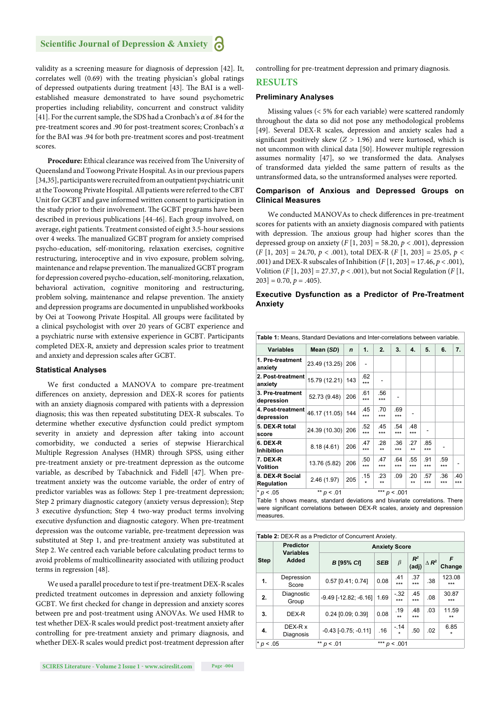validity as a screening measure for diagnosis of depression [42]. It, correlates well (0.69) with the treating physician's global ratings of depressed outpatients during treatment [43]. The BAI is a wellestablished measure demonstrated to have sound psychometric properties including reliability, concurrent and construct validity [41]. For the current sample, the SDS had a Cronbach's *α* of .84 for the pre-treatment scores and .90 for post-treatment scores; Cronbach's *α* for the BAI was .94 for both pre-treatment scores and post-treatment scores.

Procedure: Ethical clearance was received from The University of Queensland and Toowong Private Hospital. As in our previous papers [34,35], participants were recruited from an outpatient psychiatric unit at the Toowong Private Hospital. All patients were referred to the CBT Unit for GCBT and gave informed written consent to participation in the study prior to their involvement. The GCBT programs have been described in previous publications [44-46]. Each group involved, on average, eight patients. Treatment consisted of eight 3.5-hour sessions over 4 weeks. The manualized GCBT program for anxiety comprised psycho-education, self-monitoring, relaxation exercises, cognitive restructuring, interoceptive and in vivo exposure, problem solving, maintenance and relapse prevention. The manualized GCBT program for depression covered psycho-education, self-monitoring, relaxation, behavioral activation, cognitive monitoring and restructuring, problem solving, maintenance and relapse prevention. The anxiety and depression programs are documented in unpublished workbooks by Oei at Toowong Private Hospital. All groups were facilitated by a clinical psychologist with over 20 years of GCBT experience and a psychiatric nurse with extensive experience in GCBT. Participants completed DEX-R, anxiety and depression scales prior to treatment and anxiety and depression scales after GCBT.

#### **Statistical Analyses**

We first conducted a MANOVA to compare pre-treatment differences on anxiety, depression and DEX-R scores for patients with an anxiety diagnosis compared with patients with a depression diagnosis; this was then repeated substituting DEX-R subscales. To determine whether executive dysfunction could predict symptom severity in anxiety and depression after taking into account comorbidity, we conducted a series of stepwise Hierarchical Multiple Regression Analyses (HMR) through SPSS, using either pre-treatment anxiety or pre-treatment depression as the outcome variable, as described by Tabachnick and Fidell [47]. When pretreatment anxiety was the outcome variable, the order of entry of predictor variables was as follows: Step 1 pre-treatment depression; Step 2 primary diagnostic category (anxiety versus depression); Step 3 executive dysfunction; Step 4 two-way product terms involving executive dysfunction and diagnostic category. When pre-treatment depression was the outcome variable, pre-treatment depression was substituted at Step 1, and pre-treatment anxiety was substituted at Step 2. We centred each variable before calculating product terms to avoid problems of multicollinearity associated with utilizing product terms in regression [48].

We used a parallel procedure to test if pre-treatment DEX-R scales predicted treatment outcomes in depression and anxiety following GCBT. We first checked for change in depression and anxiety scores between pre and post-treatment using ANOVAs. We used HMR to test whether DEX-R scales would predict post-treatment anxiety after controlling for pre-treatment anxiety and primary diagnosis, and whether DEX-R scales would predict post-treatment depression after controlling for pre-treatment depression and primary diagnosis.

#### **RESULTS**

#### **Preliminary Analyses**

 Missing values (< 5% for each variable) were scattered randomly throughout the data so did not pose any methodological problems [49]. Several DEX-R scales, depression and anxiety scales had a significant positively skew  $(Z > 1.96)$  and were kurtosed, which is not uncommon with clinical data [50]. However multiple regression assumes normality [47], so we transformed the data. Analyses of transformed data yielded the same pattern of results as the untransformed data, so the untransformed analyses were reported.

#### **Comparison of Anxious and Depressed Groups on Clinical Measures**

We conducted MANOVAs to check differences in pre-treatment scores for patients with an anxiety diagnosis compared with patients with depression. The anxious group had higher scores than the depressed group on anxiety  $(F [1, 203] = 58.20, p < .001)$ , depression (*F* [1, 203] = 24.70, *p* < .001), total DEX-R (*F* [1, 203] = 25.05, *p* < .001) and DEX-R subscales of Inhibition (*F* [1, 203] = 17.46, *p* < .001), Volition (*F* [1, 203] = 27.37, *p* < .001), but not Social Regulation (*F* [1,  $203$ ] = 0.70,  $p = .405$ ).

#### **Executive Dysfunction as a Predictor of Pre-Treatment Anxiety**

| Table 1: Means, Standard Deviations and Inter-correlations between variable.            |               |             |            |             |                |             |            |            |            |  |  |
|-----------------------------------------------------------------------------------------|---------------|-------------|------------|-------------|----------------|-------------|------------|------------|------------|--|--|
| <b>Variables</b>                                                                        | Mean (SD)     | $\mathbf n$ | 1.         | 2.          | 3.             | 4.          | 5.         | 6.         | 7.         |  |  |
| 1. Pre-treatment<br>anxiety                                                             | 23.49 (13.25) | 206         |            |             |                |             |            |            |            |  |  |
| 2. Post-treatment<br>anxiety                                                            | 15.79 (12.21) | 143         | .62<br>*** |             |                |             |            |            |            |  |  |
| 3. Pre-treatment<br>depression                                                          | 52.73 (9.48)  | 206         | .61<br>*** | .56<br>***  |                |             |            |            |            |  |  |
| 4. Post-treatment<br>depression                                                         | 46.17 (11.05) | 144         | .45<br>*** | .70<br>***  | .69<br>***     |             |            |            |            |  |  |
| 5. DEX-R total<br>score                                                                 | 24.39 (10.30) | 206         | .52<br>*** | .45<br>***  | .54<br>***     | .48<br>***  |            |            |            |  |  |
| 6. DEX-R<br><b>Inhibition</b>                                                           | 8.18(4.61)    | 206         | .47<br>*** | .28<br>$**$ | .36<br>***     | .27<br>$**$ | .85<br>*** |            |            |  |  |
| <b>7. DEX-R</b><br><b>Volition</b>                                                      | 13.76 (5.82)  | 206         | .50<br>*** | .47<br>***  | .64<br>***     | .55<br>***  | .91<br>*** | .59<br>*** |            |  |  |
| 8. DEX-R Social<br><b>Regulation</b>                                                    | 2.46(1.97)    | 205         | .15<br>÷   | .23<br>$**$ | .09            | .20<br>$**$ | .57<br>*** | .36<br>*** | .40<br>*** |  |  |
| $* p < .05$<br>Table 1 shows means standard deviations and bivariate correlations There | ** $p < .01$  |             |            |             | *** $p < .001$ |             |            |            |            |  |  |

Table 1 shows means, standard deviations and bivariate correlations. There were significant correlations between DEX-R scales, anxiety and depression measures

|             | Table 2: DEX-R as a Predictor of Concurrent Anxiety. |                                |                      |               |                |                 |                 |  |  |  |  |
|-------------|------------------------------------------------------|--------------------------------|----------------------|---------------|----------------|-----------------|-----------------|--|--|--|--|
|             | <b>Predictor</b>                                     |                                | <b>Anxiety Score</b> |               |                |                 |                 |  |  |  |  |
| <b>Step</b> | <b>Variables</b><br>Added                            | В [95% СЛ                      | <b>SEB</b>           | $\beta$       | $R^2$<br>(adj) | $\triangle R^2$ | F<br>Change     |  |  |  |  |
| 1.          | Depression<br>Score                                  | $0.57$ [0.41; 0.74]            | 0.08                 | .41<br>***    | .37<br>***     | .38             | 123.08<br>***   |  |  |  |  |
| 2.          | Diagnostic<br>Group                                  | $-9.49$ [ $-12.82$ ; $-6.16$ ] | 1.69                 | $-.32$<br>*** | .45<br>***     | .08             | 30.87<br>***    |  |  |  |  |
| 3.          | DEX-R                                                | 0.24 [0.09; 0.39]              | 0.08                 | .19<br>**     | .48<br>***     | .03             | 11.59<br>$***$  |  |  |  |  |
| 4.          | DEX-R x<br>Diagnosis                                 | $-0.43$ [ $-0.75$ ; $-0.11$ ]  | .16                  | $-.14$        | .50            | .02             | 6.85<br>$\star$ |  |  |  |  |
|             | ** $p < .01$<br>*** $p < .001$<br>$* p < .05$        |                                |                      |               |                |                 |                 |  |  |  |  |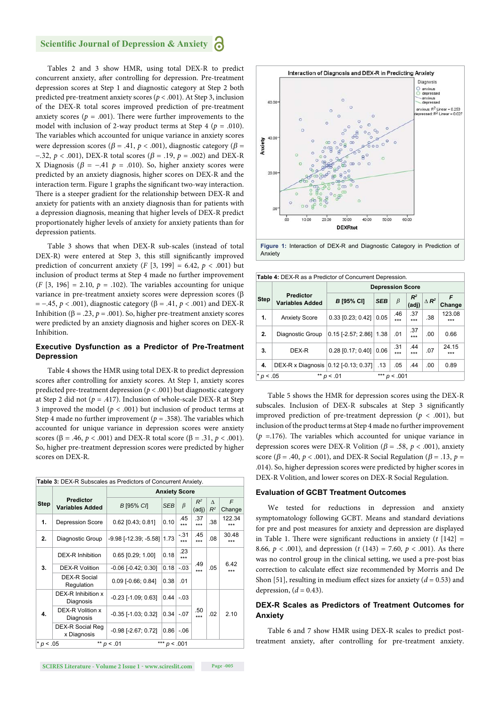#### **Scientific Journal of Depression & Anxiety**

Tables 2 and 3 show HMR, using total DEX-R to predict concurrent anxiety, after controlling for depression. Pre-treatment depression scores at Step 1 and diagnostic category at Step 2 both predicted pre-treatment anxiety scores (*p* < .001). At Step 3, inclusion of the DEX-R total scores improved prediction of pre-treatment anxiety scores ( $p = .001$ ). There were further improvements to the model with inclusion of 2-way product terms at Step 4 (*p* = .010). The variables which accounted for unique variance in anxiety scores were depression scores ( $\beta$  = .41,  $p$  < .001), diagnostic category ( $\beta$  =  $-0.32, p < 0.001$ , DEX-R total scores ( $\beta = 0.19, p = 0.002$ ) and DEX-R X Diagnosis ( $\beta$  = -.41  $p$  = .010). So, higher anxiety scores were predicted by an anxiety diagnosis, higher scores on DEX-R and the interaction term. Figure 1 graphs the significant two-way interaction. There is a steeper gradient for the relationship between DEX-R and anxiety for patients with an anxiety diagnosis than for patients with a depression diagnosis, meaning that higher levels of DEX-R predict proportionately higher levels of anxiety for anxiety patients than for depression patients.

Table 3 shows that when DEX-R sub-scales (instead of total DEX-R) were entered at Step 3, this still significantly improved prediction of concurrent anxiety  $(F [3, 199] = 6.42, p < .001)$  but inclusion of product terms at Step 4 made no further improvement  $(F [3, 196] = 2.10, p = .102)$ . The variables accounting for unique variance in pre-treatment anxiety scores were depression scores  $(\beta)$  $p = -0.45$ ,  $p < .001$ ), diagnostic category ( $\beta = .41$ ,  $p < .001$ ) and DEX-R Inhibition ( $\beta = .23$ ,  $p = .001$ ). So, higher pre-treatment anxiety scores were predicted by an anxiety diagnosis and higher scores on DEX-R Inhibition.

#### **Executive Dysfunction as a Predictor of Pre-Treatment Depression**

Table 4 shows the HMR using total DEX-R to predict depression scores after controlling for anxiety scores. At Step 1, anxiety scores predicted pre-treatment depression (*p* < .001) but diagnostic category at Step 2 did not (*p* = .417). Inclusion of whole-scale DEX-R at Step 3 improved the model ( $p < .001$ ) but inclusion of product terms at Step 4 made no further improvement ( $p = .358$ ). The variables which accounted for unique variance in depression scores were anxiety scores ( $\beta = .46$ ,  $p < .001$ ) and DEX-R total score ( $\beta = .31$ ,  $p < .001$ ). So, higher pre-treatment depression scores were predicted by higher scores on DEX-R.

|             | Table 3: DEX-R Subscales as Predictors of Concurrent Anxiety. |                                |      |               |                |                   |               |  |  |  |
|-------------|---------------------------------------------------------------|--------------------------------|------|---------------|----------------|-------------------|---------------|--|--|--|
|             |                                                               | <b>Anxiety Score</b>           |      |               |                |                   |               |  |  |  |
| <b>Step</b> | <b>Predictor</b><br><b>Variables Added</b>                    | <b>B</b> [95% C/]              | SEB  | $\beta$       | $R^2$<br>(adj) | $\wedge$<br>$R^2$ | F<br>Change   |  |  |  |
| 1.          | <b>Depression Score</b>                                       | $0.62$ [0.43; 0.81]            | 0.10 | .45<br>***    | .37<br>***     | .38               | 122.34<br>*** |  |  |  |
| 2.          | Diagnostic Group                                              | $-9.98$ [ $-12.39$ ; $-5.58$ ] | 1.73 | $-.31$<br>*** | .45<br>***     | .08               | 30.48<br>***  |  |  |  |
|             | DEX-R Inhibition                                              | $0.65$ $[0.29; 1.00]$          | 0.18 | .23<br>***    |                |                   |               |  |  |  |
| 3.          | DEX-R Volition                                                | $-0.06$ $[-0.42; 0.30]$        | 0.18 | $-.03$        | .49<br>***     | .05               | 6.42<br>***   |  |  |  |
|             | DEX-R Social<br>Regulation                                    | $0.09$ [-0.66; 0.84]           | 0.38 | .01           |                |                   |               |  |  |  |
|             | DEX-R Inhibition x<br>Diagnosis                               | $-0.23$ [ $-1.09$ ; 0.63]      | 0.44 | $-.03$        |                |                   |               |  |  |  |
| 4.          | DEX-R Volition x<br>Diagnosis                                 | $-0.35$ [ $-1.03$ ; 0.32]      | 0.34 | $-.07$        | .50<br>***     | .02               | 2.10          |  |  |  |
|             | DEX-R Social Reg<br>x Diagnosis                               | $-0.98$ [ $-2.67; 0.72$ ]      | 0.86 | $-.06$        |                |                   |               |  |  |  |
|             | *** $p < .001$<br>** $p < .01$<br>$*$ p < .05                 |                                |      |               |                |                   |               |  |  |  |







|                                               | Table 4: DEX-R as a Predictor of Concurrent Depression. |                         |            |            |                |                 |               |  |  |  |  |
|-----------------------------------------------|---------------------------------------------------------|-------------------------|------------|------------|----------------|-----------------|---------------|--|--|--|--|
|                                               |                                                         | <b>Depression Score</b> |            |            |                |                 |               |  |  |  |  |
| <b>Step</b>                                   | <b>Predictor</b><br><b>Variables Added</b>              | <b>B</b> [95% CI]       | <b>SEB</b> | $\beta$    | $R^2$<br>(adj) | $\triangle R^2$ | F<br>Change   |  |  |  |  |
| 1.                                            | <b>Anxiety Score</b>                                    | 0.33 [0.23; 0.42]       | 0.05       | .46<br>*** | .37<br>***     | .38             | 123.08<br>*** |  |  |  |  |
| 2.                                            | Diagnostic Group                                        | $0.15$ [-2.57; 2.86]    | 1.38       | .01        | .37<br>***     | .00             | 0.66          |  |  |  |  |
| 3.                                            | DEX-R                                                   | $0.28$ [0.17; 0.40]     | 0.06       | .31<br>*** | .44<br>***     | .07             | 24.15<br>***  |  |  |  |  |
| 4.                                            | DEX-R x Diagnosis                                       | $0.12$ [-0.13; 0.37]    | .13        | .05        | .44            | .00             | 0.89          |  |  |  |  |
| *** $p < .001$<br>** $p < .01$<br>$* p < .05$ |                                                         |                         |            |            |                |                 |               |  |  |  |  |

Table 5 shows the HMR for depression scores using the DEX-R subscales. Inclusion of DEX-R subscales at Step 3 significantly improved prediction of pre-treatment depression ( $p < .001$ ), but inclusion of the product terms at Step 4 made no further improvement ( $p = 176$ ). The variables which accounted for unique variance in depression scores were DEX-R Volition ( $\beta$  = .58,  $p$  < .001), anxiety score ( $\beta$  = .40,  $p$  < .001), and DEX-R Social Regulation ( $\beta$  = .13,  $p$  = .014). So, higher depression scores were predicted by higher scores in DEX-R Volition, and lower scores on DEX-R Social Regulation.

#### **Evaluation of GCBT Treatment Outcomes**

We tested for reductions in depression and anxiety symptomatology following GCBT. Means and standard deviations for pre and post measures for anxiety and depression are displayed in Table 1. There were significant reductions in anxiety  $(t \mid 142] =$ 8.66*, p* < .001)*,* and depression (*t* (143) = 7.60*, p* < .001)*.* As there was no control group in the clinical setting, we used a pre-post bias correction to calculate effect size recommended by Morris and De Shon [51], resulting in medium effect sizes for anxiety  $(d = 0.53)$  and depression,  $(d = 0.43)$ .

#### **DEX-R Scales as Predictors of Treatment Outcomes for Anxiety**

Table 6 and 7 show HMR using DEX-R scales to predict posttreatment anxiety, after controlling for pre-treatment anxiety.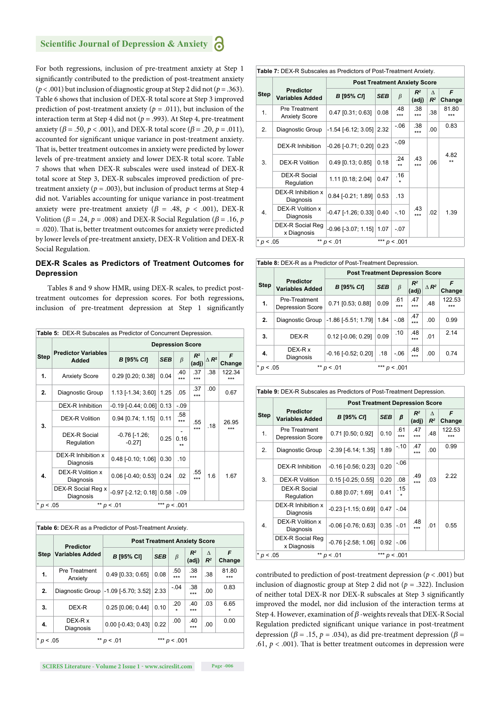For both regressions, inclusion of pre-treatment anxiety at Step 1 significantly contributed to the prediction of post-treatment anxiety (*p* < .001) but inclusion of diagnostic group at Step 2 did not (*p* = .363). Table 6 shows that inclusion of DEX-R total score at Step 3 improved prediction of post-treatment anxiety ( $p = .011$ ), but inclusion of the interaction term at Step 4 did not (*p* = .993). At Step 4, pre-treatment anxiety ( $\beta$  = .50,  $p$  < .001), and DEX-R total score ( $\beta$  = .20,  $p$  = .011), accounted for significant unique variance in post-treatment anxiety. That is, better treatment outcomes in anxiety were predicted by lower levels of pre-treatment anxiety and lower DEX-R total score. Table 7 shows that when DEX-R subscales were used instead of DEX-R total score at Step 3, DEX-R subscales improved prediction of pretreatment anxiety ( $p = .003$ ), but inclusion of product terms at Step 4 did not. Variables accounting for unique variance in post-treatment anxiety were pre-treatment anxiety ( $\beta$  = .48,  $p$  < .001), DEX-R Volition ( $\beta$  = .24,  $p$  = .008) and DEX-R Social Regulation ( $\beta$  = .16,  $p$ ) = .020). Th at is, better treatment outcomes for anxiety were predicted by lower levels of pre-treatment anxiety, DEX-R Volition and DEX-R Social Regulation.

#### **DEX-R Scales as Predictors of Treatment Outcomes for Depression**

Tables 8 and 9 show HMR, using DEX-R scales, to predict posttreatment outcomes for depression scores. For both regressions, inclusion of pre-treatment depression at Step 1 significantly

|             | <b>Table 5: DEX-R Subscales as Predictor of Concurrent Depression.</b> |                                  |                |              |                |                 |               |  |  |
|-------------|------------------------------------------------------------------------|----------------------------------|----------------|--------------|----------------|-----------------|---------------|--|--|
|             |                                                                        | <b>Depression Score</b>          |                |              |                |                 |               |  |  |
| <b>Step</b> | <b>Predictor Variables</b><br>Added                                    | <b>B</b> [95% CI]                | <b>SEB</b>     | $\beta$      | $R^2$<br>(adj) | $\triangle R^2$ | F<br>Change   |  |  |
| 1.          | <b>Anxiety Score</b>                                                   | $0.29$ [0.20; 0.38]              | 0.04           | .40<br>***   | .37<br>***     | .38             | 122.34<br>*** |  |  |
| 2.          | Diagnostic Group                                                       | 1.13 [-1.34; 3.60]               | 1.25           | .05          | .37<br>***     | .00             | 0.67          |  |  |
|             | DEX-R Inhibition                                                       | $-0.19$ [ $-0.44$ ; 0.06]        | 0.13           | $-.09$       |                |                 | 26.95<br>***  |  |  |
| 3.          | <b>DEX-R Volition</b>                                                  | $0.94$ [0.74; 1.15]              | 0.11           | .58<br>***   | .55            | .18             |               |  |  |
|             | <b>DEX-R Social</b><br>Regulation                                      | $-0.76$ [ $-1.26$ ;<br>$-0.27$ ] | 0.25           | 0.16<br>$**$ | $***$          |                 |               |  |  |
|             | DEX-R Inhibition x<br>Diagnosis                                        | $0.48$ [-0.10; 1.06]             | 0.30           | .10          |                |                 |               |  |  |
| 4.          | DEX-R Volition x<br>Diagnosis                                          | $0.06$ [-0.40; 0.53]             | 0.24           | .02          | .55<br>$***$   | 1.6             | 1.67          |  |  |
|             | DEX-R Social Reg x<br>Diagnosis                                        | $-0.97$ [ $-2.12$ ; 0.18] 0.58   |                | $-.09$       |                |                 |               |  |  |
| $* p < .05$ |                                                                        | ** $p < .01$                     | *** $p < .001$ |              |                |                 |               |  |  |

|             | <b>Predictor</b>                | <b>Post Treatment Anxiety Score</b> |            |                |                |            |                 |
|-------------|---------------------------------|-------------------------------------|------------|----------------|----------------|------------|-----------------|
| <b>Step</b> | <b>Variables Added</b>          | <b>B</b> [95% CI]                   | <b>SEB</b> | $\beta$        | $R^2$<br>(adj) | Δ<br>$R^2$ | F<br>Change     |
| 1.          | <b>Pre Treatment</b><br>Anxiety | $0.49$ [0.33; 0.65]                 | 0.08       | .50<br>***     | .38<br>***     | .38        | 81.80<br>***    |
| 2.          | Diagnostic Group                | $-1.09$ [ $-5.70$ ; 3.52] 2.33      |            | $-.04$         | .38<br>***     | .00        | 0.83            |
| 3.          | DEX-R                           | $0.25$ [0.06; 0.44]                 | 0.10       | .20            | .40<br>***     | .03        | 6.65<br>$\star$ |
| 4.          | DEX-R x<br>Diagnosis            | $0.00$ [-0.43; 0.43]                | 0.22       | .00            | .40<br>***     | .00        | 0.00            |
| $* p < .05$ |                                 | ** $p < .01$                        |            | *** $p < .001$ |                |            |                 |

|             | <b>Table 7: DEX-R Subscales as Predictors of Post-Treatment Anxiety.</b> |                                |                                     |                |                |                    |              |  |  |  |  |
|-------------|--------------------------------------------------------------------------|--------------------------------|-------------------------------------|----------------|----------------|--------------------|--------------|--|--|--|--|
|             |                                                                          |                                | <b>Post Treatment Anxiety Score</b> |                |                |                    |              |  |  |  |  |
| <b>Step</b> | <b>Predictor</b><br><b>Variables Added</b>                               | В [95% СЛ                      | <b>SEB</b>                          | $\beta$        | $R^2$<br>(adj) | $\Lambda$<br>$R^2$ | F<br>Change  |  |  |  |  |
| 1.          | Pre Treatment<br><b>Anxiety Score</b>                                    | $0.47$ [0.31; 0.63]            | 0.08                                | .48<br>***     | .38<br>***     | .38                | 81.80<br>*** |  |  |  |  |
| 2.          | Diagnostic Group                                                         | $-1.54$ [ $-6.12$ ; 3.05]      | 2.32                                | $-0.06$        | .38<br>***     | .00                | 0.83         |  |  |  |  |
|             | DEX-R Inhibition                                                         | $-0.26$ [ $-0.71$ ; 0.20]      | 0.23                                | $-.09$         |                |                    |              |  |  |  |  |
| 3.          | <b>DEX-R Volition</b>                                                    | $0.49$ [0.13; 0.85]            | 0.18                                | .24<br>$^{**}$ | 43<br>***      | .06                | 4.82<br>$**$ |  |  |  |  |
|             | DEX-R Social<br>Regulation                                               | 1.11 [0.18; 2.04]              | 0.47                                | .16            |                |                    |              |  |  |  |  |
|             | DEX-R Inhibition x<br>Diagnosis                                          | $0.84$ [-0.21; 1.89]           | 0.53                                | .13            |                |                    |              |  |  |  |  |
| 4.          | DEX-R Volition x<br>Diagnosis                                            | $-0.47$ [ $-1.26$ ; 0.33]      | 0.40                                | $-.10$         | .43<br>***     | .02                | 1.39         |  |  |  |  |
|             | DEX-R Social Reg<br>x Diagnosis                                          | $-0.96$ [ $-3.07$ ; 1.15] 1.07 |                                     | $-.07$         |                |                    |              |  |  |  |  |
| * $p < .05$ |                                                                          | ** $p < .01$                   |                                     | *** $p < .001$ |                |                    |              |  |  |  |  |

**Table 8:** DEX-R as a Predictor of Post-Treatment Depression.

|             |                                            | <b>Post Treatment Depression Score</b> |            |                |                |                 |               |  |  |  |  |
|-------------|--------------------------------------------|----------------------------------------|------------|----------------|----------------|-----------------|---------------|--|--|--|--|
| <b>Step</b> | <b>Predictor</b><br><b>Variables Added</b> | В [95% СЛ                              | <b>SEB</b> | $\beta$        | $R^2$<br>(adj) | $\triangle R^2$ | F<br>Change   |  |  |  |  |
| 1.          | Pre-Treatment<br><b>Depression Score</b>   | 0.71 [0.53; 0.88]                      | 0.09       | .61<br>***     | .47<br>***     | .48             | 122.53<br>*** |  |  |  |  |
| 2.          | Diagnostic Group                           | $-1.86$ [ $-5.51$ ; 1.79]              | 1.84       | $-.08$         | .47<br>***     | .00             | 0.99          |  |  |  |  |
| 3.          | DEX-R                                      | $0.12$ [-0.06; 0.29]                   | 0.09       | .10            | .48<br>***     | .01             | 2.14          |  |  |  |  |
| 4.          | DEX-R x<br>Diagnosis                       | $-0.16$ $[-0.52; 0.20]$                | .18        | $-.06$         | .48<br>***     | .00             | 0.74          |  |  |  |  |
| * $p < .05$ |                                            | ** $p < .01$                           |            | *** $p < .001$ |                |                 |               |  |  |  |  |

| Table 9: DEX-R Subscales as Predictors of Post-Treatment Depression. |                                               |                           |                                        |            |                |                    |               |  |  |  |
|----------------------------------------------------------------------|-----------------------------------------------|---------------------------|----------------------------------------|------------|----------------|--------------------|---------------|--|--|--|
|                                                                      |                                               |                           | <b>Post Treatment Depression Score</b> |            |                |                    |               |  |  |  |
| <b>Step</b>                                                          | <b>Predictor</b><br><b>Variables Added</b>    | В [95% СЛ                 | <b>SEB</b>                             | β          | $R^2$<br>(adj) | $\Lambda$<br>$R^2$ | F<br>Change   |  |  |  |
| 1.                                                                   | Pre Treatment<br><b>Depression Score</b>      | 0.71 [0.50; 0.92]         | 0.10                                   | .61<br>*** | .47<br>***     | .48                | 122.53<br>*** |  |  |  |
| 2.                                                                   | Diagnostic Group                              | $-2.39$ [ $-6.14$ ; 1.35] | 1.89                                   | $-.10$     | .47<br>***     | .00                | 0.99          |  |  |  |
|                                                                      | DEX-R Inhibition                              | $-0.16$ $[-0.56; 0.23]$   | 0.20                                   | $-.06$     |                |                    |               |  |  |  |
| 3.                                                                   | <b>DEX-R Volition</b>                         | $0.15$ [-0.25; 0.55]      | 0.20                                   | .08        | .49<br>$***$   | .03                | 2.22          |  |  |  |
|                                                                      | <b>DEX-R Social</b><br>Regulation             | 0.88 [0.07; 1.69]         | 0.41                                   | .15<br>÷   |                |                    |               |  |  |  |
|                                                                      | DEX-R Inhibition x<br>Diagnosis               | $-0.23$ [ $-1.15$ ; 0.69] | 0.47                                   | $-.04$     |                |                    |               |  |  |  |
| 4.                                                                   | DEX-R Volition x<br>Diagnosis                 | $-0.06$ $[-0.76; 0.63]$   | 0.35                                   | $-.01$     | .48<br>***     | .01                | 0.55          |  |  |  |
|                                                                      | DEX-R Social Reg<br>x Diagnosis               | $-0.76$ [ $-2.58$ ; 1.06] | 0.92                                   | $-.06$     |                |                    |               |  |  |  |
|                                                                      | ** $p < .01$<br>*** $p < .001$<br>$* p < .05$ |                           |                                        |            |                |                    |               |  |  |  |

contributed to prediction of post-treatment depression ( $p < .001$ ) but inclusion of diagnostic group at Step 2 did not (*p* = .322). Inclusion of neither total DEX-R nor DEX-R subscales at Step 3 significantly improved the model, nor did inclusion of the interaction terms at Step 4. However, examination of  $\beta$  -weights reveals that DEX-R Social Regulation predicted significant unique variance in post-treatment depression ( $\beta$  = .15,  $p$  = .034), as did pre-treatment depression ( $\beta$  = .61,  $p < .001$ ). That is better treatment outcomes in depression were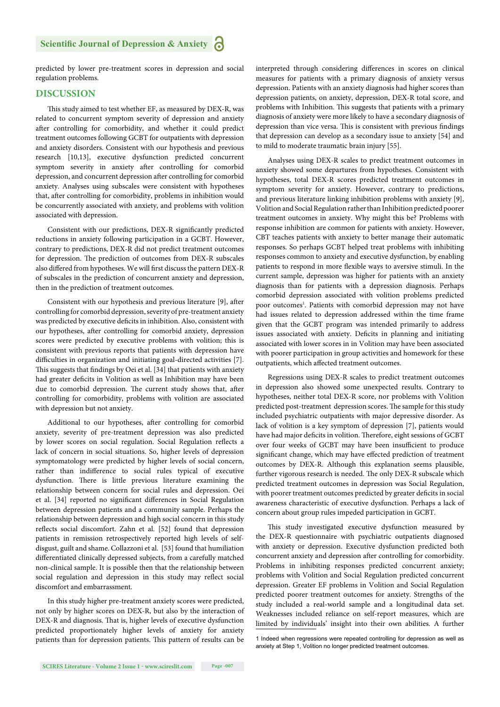predicted by lower pre-treatment scores in depression and social regulation problems.

#### **DISCUSSION**

This study aimed to test whether EF, as measured by DEX-R, was related to concurrent symptom severity of depression and anxiety after controlling for comorbidity, and whether it could predict treatment outcomes following GCBT for outpatients with depression and anxiety disorders. Consistent with our hypothesis and previous research [10,13], executive dysfunction predicted concurrent symptom severity in anxiety after controlling for comorbid depression, and concurrent depression after controlling for comorbid anxiety. Analyses using subscales were consistent with hypotheses that, after controlling for comorbidity, problems in inhibition would be concurrently associated with anxiety, and problems with volition associated with depression.

Consistent with our predictions, DEX-R significantly predicted reductions in anxiety following participation in a GCBT. However, contrary to predictions, DEX-R did not predict treatment outcomes for depression. The prediction of outcomes from DEX-R subscales also differed from hypotheses. We will first discuss the pattern DEX-R of subscales in the prediction of concurrent anxiety and depression, then in the prediction of treatment outcomes.

Consistent with our hypothesis and previous literature [9], after controlling for comorbid depression, severity of pre-treatment anxiety was predicted by executive deficits in inhibition. Also, consistent with our hypotheses, after controlling for comorbid anxiety, depression scores were predicted by executive problems with volition; this is consistent with previous reports that patients with depression have difficulties in organization and initiating goal-directed activities [7]. This suggests that findings by Oei et al. [34] that patients with anxiety had greater deficits in Volition as well as Inhibition may have been due to comorbid depression. The current study shows that, after controlling for comorbidity, problems with volition are associated with depression but not anxiety.

Additional to our hypotheses, after controlling for comorbid anxiety, severity of pre-treatment depression was also predicted by lower scores on social regulation. Social Regulation reflects a lack of concern in social situations. So, higher levels of depression symptomatology were predicted by higher levels of social concern, rather than indifference to social rules typical of executive dysfunction. There is little previous literature examining the relationship between concern for social rules and depression. Oei et al. [34] reported no significant differences in Social Regulation between depression patients and a community sample. Perhaps the relationship between depression and high social concern in this study reflects social discomfort. Zahn et al. [52] found that depression patients in remission retrospectively reported high levels of selfdisgust, guilt and shame. Collazzoni et al. [53] found that humiliation differentiated clinically depressed subjects, from a carefully matched non-clinical sample. It is possible then that the relationship between social regulation and depression in this study may reflect social discomfort and embarrassment.

In this study higher pre-treatment anxiety scores were predicted, not only by higher scores on DEX-R, but also by the interaction of DEX-R and diagnosis. That is, higher levels of executive dysfunction predicted proportionately higher levels of anxiety for anxiety patients than for depression patients. This pattern of results can be interpreted through considering differences in scores on clinical measures for patients with a primary diagnosis of anxiety versus depression. Patients with an anxiety diagnosis had higher scores than depression patients, on anxiety, depression, DEX-R total score, and problems with Inhibition. This suggests that patients with a primary diagnosis of anxiety were more likely to have a secondary diagnosis of depression than vice versa. This is consistent with previous findings that depression can develop as a secondary issue to anxiety [54] and to mild to moderate traumatic brain injury [55].

Analyses using DEX-R scales to predict treatment outcomes in anxiety showed some departures from hypotheses. Consistent with hypotheses, total DEX-R scores predicted treatment outcomes in symptom severity for anxiety. However, contrary to predictions, and previous literature linking inhibition problems with anxiety [9], Volition and Social Regulation rather than Inhibition predicted poorer treatment outcomes in anxiety. Why might this be? Problems with response inhibition are common for patients with anxiety. However, CBT teaches patients with anxiety to better manage their automatic responses. So perhaps GCBT helped treat problems with inhibiting responses common to anxiety and executive dysfunction, by enabling patients to respond in more flexible ways to aversive stimuli. In the current sample, depression was higher for patients with an anxiety diagnosis than for patients with a depression diagnosis. Perhaps comorbid depression associated with volition problems predicted poor outcomes<sup>1</sup>. Patients with comorbid depression may not have had issues related to depression addressed within the time frame given that the GCBT program was intended primarily to address issues associated with anxiety. Deficits in planning and initiating associated with lower scores in in Volition may have been associated with poorer participation in group activities and homework for these outpatients, which affected treatment outcomes.

Regressions using DEX-R scales to predict treatment outcomes in depression also showed some unexpected results. Contrary to hypotheses, neither total DEX-R score, nor problems with Volition predicted post-treatment depression scores. The sample for this study included psychiatric outpatients with major depressive disorder. As lack of volition is a key symptom of depression [7], patients would have had major deficits in volition. Therefore, eight sessions of GCBT over four weeks of GCBT may have been insufficient to produce significant change, which may have effected prediction of treatment outcomes by DEX-R. Although this explanation seems plausible, further vigorous research is needed. The only DEX-R subscale which predicted treatment outcomes in depression was Social Regulation, with poorer treatment outcomes predicted by greater deficits in social awareness characteristic of executive dysfunction. Perhaps a lack of concern about group rules impeded participation in GCBT.

This study investigated executive dysfunction measured by the DEX-R questionnaire with psychiatric outpatients diagnosed with anxiety or depression. Executive dysfunction predicted both concurrent anxiety and depression after controlling for comorbidity. Problems in inhibiting responses predicted concurrent anxiety; problems with Volition and Social Regulation predicted concurrent depression. Greater EF problems in Volition and Social Regulation predicted poorer treatment outcomes for anxiety. Strengths of the study included a real-world sample and a longitudinal data set. Weaknesses included reliance on self-report measures, which are limited by individuals' insight into their own abilities. A further

<sup>1</sup> Indeed when regressions were repeated controlling for depression as well as anxiety at Step 1, Volition no longer predicted treatment outcomes.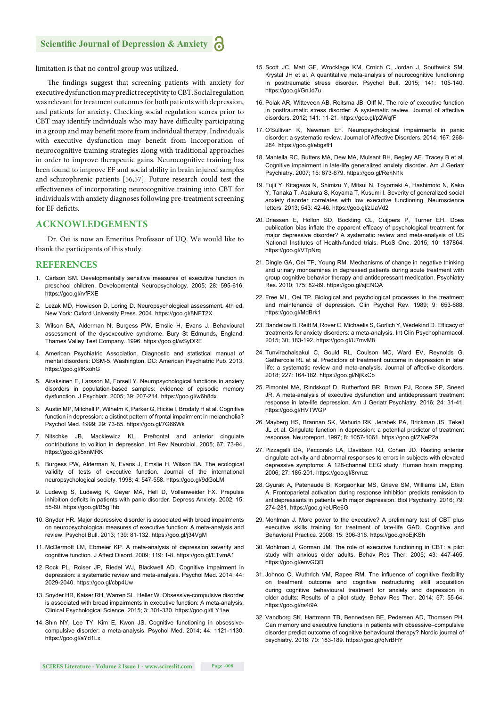limitation is that no control group was utilized.

The findings suggest that screening patients with anxiety for executive dysfunction may predict receptivity to CBT. Social regulation was relevant for treatment outcomes for both patients with depression, and patients for anxiety. Checking social regulation scores prior to CBT may identify individuals who may have difficulty participating in a group and may benefit more from individual therapy. Individuals with executive dysfunction may benefit from incorporation of neurocognitive training strategies along with traditional approaches in order to improve therapeutic gains. Neurocognitive training has been found to improve EF and social ability in brain injured samples and schizophrenic patients [56,57]. Future research could test the effectiveness of incorporating neurocognitive training into CBT for individuals with anxiety diagnoses following pre-treatment screening for EF deficits.

#### **ACKNOWLEDGEMENTS**

Dr. Oei is now an Emeritus Professor of UQ. We would like to thank the participants of this study.

#### **REFERENCES**

- 1. Carlson SM. Developmentally sensitive measures of executive function in preschool children. Developmental Neuropsychology. 2005; 28: 595-616. https://goo.gl/rvfFXE
- 2. Lezak MD, Howieson D, Loring D. Neuropsychological assessment. 4th ed. New York: Oxford University Press. 2004. https://goo.gl/8NFT2X
- 3. Wilson BA, Alderman N, Burgess PW, Emslie H, Evans J. Behavioural assessment of the dysexecutive syndrome. Bury St Edmunds, England: Thames Valley Test Company. 1996. https://goo.gl/wSyDRE
- 4. American Psychiatric Association. Diagnostic and statistical manual of mental disorders: DSM-5. Washington, DC: American Psychiatric Pub. 2013. https://goo.gl/fKxohG
- 5. Airaksinen E, Larsson M, Forsell Y. Neuropsychological functions in anxiety disorders in population-based samples: evidence of episodic memory dysfunction. J Psychiatr. 2005; 39: 207-214. https://goo.gl/w6h8dx
- 6. Austin MP, Mitchell P, Wilhelm K, Parker G, Hickie I, Brodaty H et al. Cognitive function in depression: a distinct pattern of frontal impairment in melancholia? Psychol Med. 1999; 29: 73-85. https://goo.gl/7G66Wk
- 7. Nitschke JB, Mackiewicz KL. Prefrontal and anterior cingulate contributions to volition in depression. Int Rev Neurobiol. 2005; 67: 73-94. https://goo.gl/5xnMRK
- 8. Burgess PW, Alderman N, Evans J, Emslie H, Wilson BA. The ecological validity of tests of executive function. Journal of the international neuropsychological society. 1998; 4: 547-558. https://goo.gl/9dGoLM
- 9. Ludewig S, Ludewig K, Geyer MA, Hell D, Vollenweider FX. Prepulse inhibition deficits in patients with panic disorder. Depress Anxiety. 2002; 15: 55-60. https://goo.gl/B5gThb
- 10. Snyder HR. Major depressive disorder is associated with broad impairments on neuropsychological measures of executive function: A meta-analysis and review. Psychol Bull. 2013; 139: 81-132. https://goo.gl/j34VgM
- 11. McDermott LM, Ebmeier KP. A meta-analysis of depression severity and cognitive function. J Affect Disord. 2009; 119: 1-8. https://goo.gl/ETvmA1
- 12. Rock PL, Roiser JP, Riedel WJ, Blackwell AD. Cognitive impairment in depression: a systematic review and meta-analysis. Psychol Med. 2014; 44: 2029-2040. https://goo.gl/cbp4Uw
- 13. Snyder HR, Kaiser RH, Warren SL, Heller W. Obsessive-compulsive disorder is associated with broad impairments in executive function: A meta-analysis. Clinical Psychological Science. 2015; 3: 301-330. https://goo.gl/tLY1ae
- 14. Shin NY, Lee TY, Kim E, Kwon JS. Cognitive functioning in obsessivecompulsive disorder: a meta-analysis. Psychol Med. 2014; 44: 1121-1130. https://goo.gl/aYd1Lx
- 15. Scott JC, Matt GE, Wrocklage KM, Crnich C, Jordan J, Southwick SM, Krystal JH et al. A quantitative meta-analysis of neurocognitive functioning in posttraumatic stress disorder. Psychol Bull. 2015; 141: 105-140. https://goo.gl/GnJd7u
- 16. Polak AR, Witteveen AB, Reitsma JB, Olff M. The role of executive function in posttraumatic stress disorder: A systematic review. Journal of affective disorders. 2012; 141: 11-21. https://goo.gl/p2WqfF
- 17. O'Sullivan K, Newman EF. Neuropsychological impairments in panic disorder: a systematic review. Journal of Affective Disorders. 2014; 167: 268- 284. https://goo.gl/ebgsfH
- 18. Mantella RC, Butters MA, Dew MA, Mulsant BH, Begley AE, Tracey B et al. Cognitive impairment in late-life generalized anxiety disorder. Am J Geriatr Psychiatry. 2007; 15: 673-679. https://goo.gl/RehN1k
- 19. Fujii Y, Kitagawa N, Shimizu Y, Mitsui N, Toyomaki A, Hashimoto N, Kako Y, Tanaka T, Asakura S, Koyama T, Kusumi I. Severity of generalized social anxiety disorder correlates with low executive functioning. Neuroscience letters. 2013; 543: 42-46. https://goo.gl/zUaVd2
- 20. Driessen E, Hollon SD, Bockting CL, Cuijpers P, Turner EH. Does publication bias inflate the apparent efficacy of psychological treatment for major depressive disorder? A systematic review and meta-analysis of US National Institutes of Health-funded trials. PLoS One. 2015; 10: 137864. https://goo.gl/VTpNrq
- 21. Dingle GA, Oei TP, Young RM. Mechanisms of change in negative thinking and urinary monoamines in depressed patients during acute treatment with group cognitive behavior therapy and antidepressant medication. Psychiatry Res. 2010; 175: 82-89. https://goo.gl/sjENQA
- 22. Free ML, Oei TP. Biological and psychological processes in the treatment and maintenance of depression. Clin Psychol Rev. 1989; 9: 653-688. https://goo.gl/MdBrk1
- 23. Bandelow B, Reitt M, Rover C, Michaelis S, Gorlich Y, Wedekind D. Efficacy of treatments for anxiety disorders: a meta-analysis. Int Clin Psychopharmacol. 2015; 30: 183-192. https://goo.gl/U7mvM8
- 24. Tunvirachaisakul C, Gould RL, Coulson MC, Ward EV, Reynolds G, Gathercole RL et al. Predictors of treatment outcome in depression in later life: a systematic review and meta-analysis. Journal of affective disorders. 2018; 227: 164-182. https://goo.gl/NjKxCb
- 25. Pimontel MA, Rindskopf D, Rutherford BR, Brown PJ, Roose SP, Sneed JR. A meta-analysis of executive dysfunction and antidepressant treatment response in late-life depression. Am J Geriatr Psychiatry. 2016; 24: 31-41. https://goo.gl/HVTWGP
- 26. Mayberg HS, Brannan SK, Mahurin RK, Jerabek PA, Brickman JS, Tekell JL et al. Cingulate function in depression: a potential predictor of treatment response. Neuroreport. 1997; 8: 1057-1061. https://goo.gl/ZNeP2a
- 27. Pizzagalli DA, Peccoralo LA, Davidson RJ, Cohen JD. Resting anterior cingulate activity and abnormal responses to errors in subjects with elevated depressive symptoms: A 128-channel EEG study. Human brain mapping. 2006; 27: 185-201. https://goo.gl/8rvruz
- 28. Gyurak A, Patenaude B, Korgaonkar MS, Grieve SM, Williams LM, Etkin A. Frontoparietal activation during response inhibition predicts remission to antidepressants in patients with major depression. Biol Psychiatry. 2016; 79: 274-281. https://goo.gl/eURe6G
- 29. Mohlman J. More power to the executive? A preliminary test of CBT plus executive skills training for treatment of late-life GAD. Cognitive and Behavioral Practice. 2008; 15: 306-316. https://goo.gl/oEjKSh
- 30. Mohlman J, Gorman JM. The role of executive functioning in CBT: a pilot study with anxious older adults. Behav Res Ther. 2005; 43: 447-465. https://goo.gl/envGQD
- 31. Johnco C, Wuthrich VM, Rapee RM. The influence of cognitive flexibility on treatment outcome and cognitive restructuring skill acquisition during cognitive behavioural treatment for anxiety and depression in older adults: Results of a pilot study. Behav Res Ther. 2014; 57: 55-64. https://goo.gl/ra4i9A
- 32. Vandborg SK, Hartmann TB, Bennedsen BE, Pedersen AD, Thomsen PH. Can memory and executive functions in patients with obsessive–compulsive disorder predict outcome of cognitive behavioural therapy? Nordic journal of psychiatry. 2016; 70: 183-189. https://goo.gl/qNrBHY